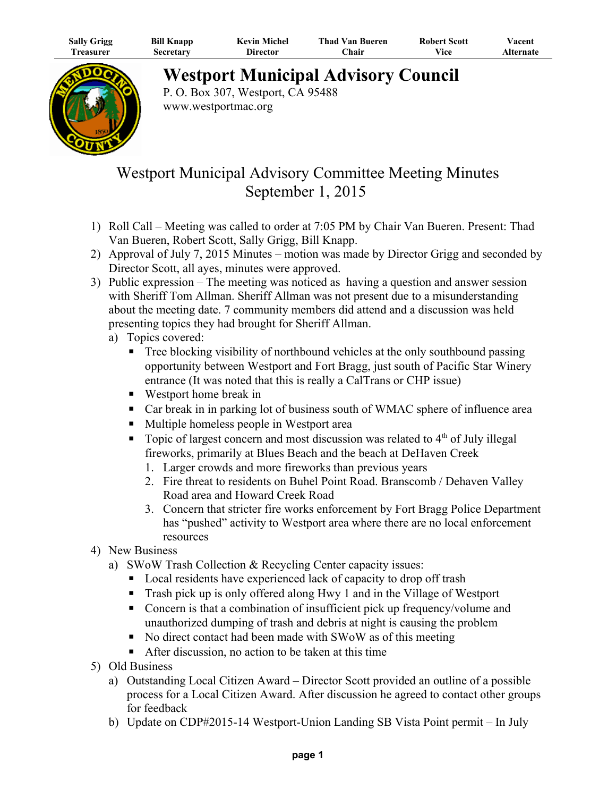| <b>Sally Grigg</b> | <b>Bill Knapp</b> | <b>Kevin Michel</b> | <b>Thad Van Bueren</b> | <b>Robert Scott</b> | ⁄ acent          |
|--------------------|-------------------|---------------------|------------------------|---------------------|------------------|
| l`reasurer         | Secretary         | Director            | ∑hair                  | Vice                | <b>Alternate</b> |



## **Westport Municipal Advisory Council**

P. O. Box 307, Westport, CA 95488 www.westportmac.org

## Westport Municipal Advisory Committee Meeting Minutes September 1, 2015

- 1) Roll Call Meeting was called to order at 7:05 PM by Chair Van Bueren. Present: Thad Van Bueren, Robert Scott, Sally Grigg, Bill Knapp.
- 2) Approval of July 7, 2015 Minutes motion was made by Director Grigg and seconded by Director Scott, all ayes, minutes were approved.
- 3) Public expression The meeting was noticed as having a question and answer session with Sheriff Tom Allman. Sheriff Allman was not present due to a misunderstanding about the meeting date. 7 community members did attend and a discussion was held presenting topics they had brought for Sheriff Allman.
	- a) Topics covered:
		- **•** Tree blocking visibility of northbound vehicles at the only southbound passing opportunity between Westport and Fort Bragg, just south of Pacific Star Winery entrance (It was noted that this is really a CalTrans or CHP issue)
		- Westport home break in
		- Car break in in parking lot of business south of WMAC sphere of influence area
		- Multiple homeless people in Westport area
		- **•** Topic of largest concern and most discussion was related to  $4<sup>th</sup>$  of July illegal fireworks, primarily at Blues Beach and the beach at DeHaven Creek
			- 1. Larger crowds and more fireworks than previous years
			- 2. Fire threat to residents on Buhel Point Road. Branscomb / Dehaven Valley Road area and Howard Creek Road
			- 3. Concern that stricter fire works enforcement by Fort Bragg Police Department has "pushed" activity to Westport area where there are no local enforcement resources
- 4) New Business
	- a) SWoW Trash Collection & Recycling Center capacity issues:
		- Local residents have experienced lack of capacity to drop off trash
		- Trash pick up is only offered along Hwy 1 and in the Village of Westport
		- Concern is that a combination of insufficient pick up frequency/volume and unauthorized dumping of trash and debris at night is causing the problem
		- No direct contact had been made with SWoW as of this meeting
		- $\blacksquare$  After discussion, no action to be taken at this time
- 5) Old Business
	- a) Outstanding Local Citizen Award Director Scott provided an outline of a possible process for a Local Citizen Award. After discussion he agreed to contact other groups for feedback
	- b) Update on CDP#2015-14 Westport-Union Landing SB Vista Point permit In July